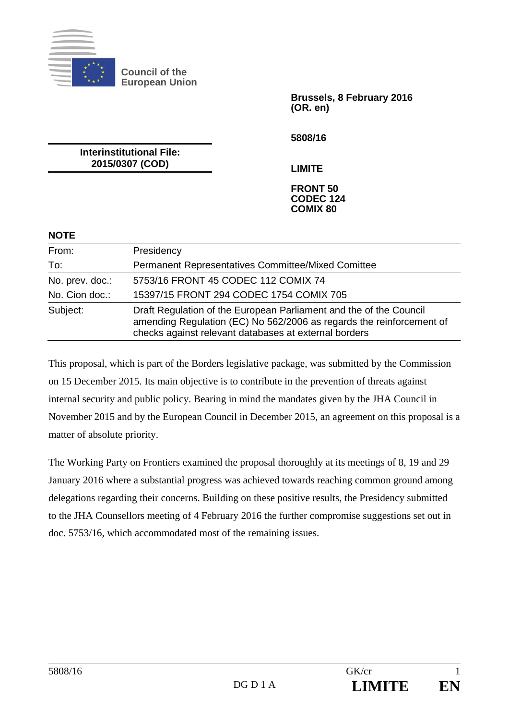

**Council of the European Union** 

> **Brussels, 8 February 2016 (OR. en)**

**5808/16** 

**Interinstitutional File: 2015/0307 (COD)** 

**LIMITE** 

#### **FRONT 50 CODEC 124 COMIX 80**

| <b>NOTE</b> |  |
|-------------|--|
|             |  |

| From:           | Presidency                                                                                                                                                                                          |
|-----------------|-----------------------------------------------------------------------------------------------------------------------------------------------------------------------------------------------------|
| To:             | <b>Permanent Representatives Committee/Mixed Comittee</b>                                                                                                                                           |
| No. prev. doc.: | 5753/16 FRONT 45 CODEC 112 COMIX 74                                                                                                                                                                 |
| No. Cion doc.:  | 15397/15 FRONT 294 CODEC 1754 COMIX 705                                                                                                                                                             |
| Subject:        | Draft Regulation of the European Parliament and the of the Council<br>amending Regulation (EC) No 562/2006 as regards the reinforcement of<br>checks against relevant databases at external borders |

This proposal, which is part of the Borders legislative package, was submitted by the Commission on 15 December 2015. Its main objective is to contribute in the prevention of threats against internal security and public policy. Bearing in mind the mandates given by the JHA Council in November 2015 and by the European Council in December 2015, an agreement on this proposal is a matter of absolute priority.

The Working Party on Frontiers examined the proposal thoroughly at its meetings of 8, 19 and 29 January 2016 where a substantial progress was achieved towards reaching common ground among delegations regarding their concerns. Building on these positive results, the Presidency submitted to the JHA Counsellors meeting of 4 February 2016 the further compromise suggestions set out in doc. 5753/16, which accommodated most of the remaining issues.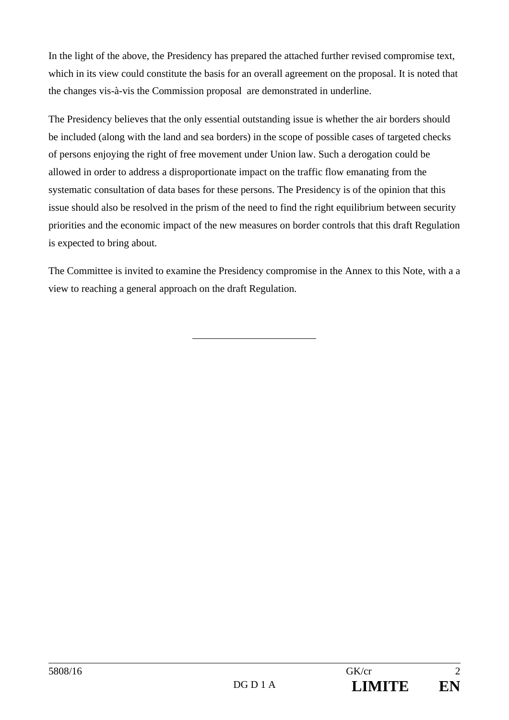In the light of the above, the Presidency has prepared the attached further revised compromise text, which in its view could constitute the basis for an overall agreement on the proposal. It is noted that the changes vis-à-vis the Commission proposal are demonstrated in underline.

The Presidency believes that the only essential outstanding issue is whether the air borders should be included (along with the land and sea borders) in the scope of possible cases of targeted checks of persons enjoying the right of free movement under Union law. Such a derogation could be allowed in order to address a disproportionate impact on the traffic flow emanating from the systematic consultation of data bases for these persons. The Presidency is of the opinion that this issue should also be resolved in the prism of the need to find the right equilibrium between security priorities and the economic impact of the new measures on border controls that this draft Regulation is expected to bring about.

The Committee is invited to examine the Presidency compromise in the Annex to this Note, with a a view to reaching a general approach on the draft Regulation.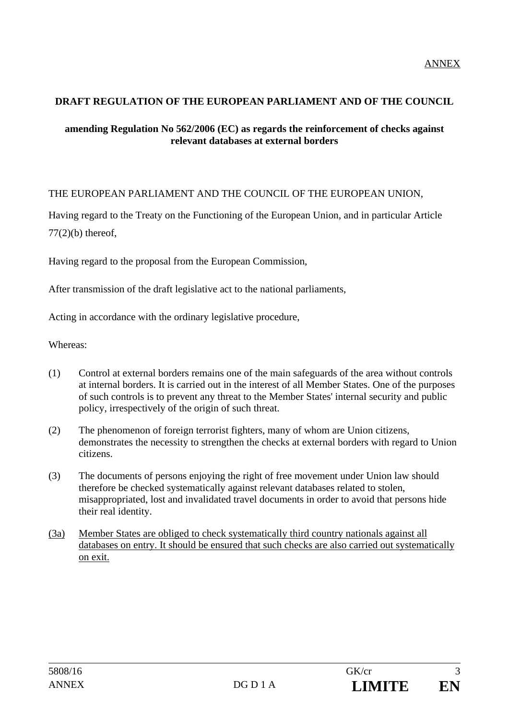### **DRAFT REGULATION OF THE EUROPEAN PARLIAMENT AND OF THE COUNCIL**

### **amending Regulation No 562/2006 (EC) as regards the reinforcement of checks against relevant databases at external borders**

# THE EUROPEAN PARLIAMENT AND THE COUNCIL OF THE EUROPEAN UNION,

Having regard to the Treaty on the Functioning of the European Union, and in particular Article  $77(2)(b)$  thereof,

Having regard to the proposal from the European Commission,

After transmission of the draft legislative act to the national parliaments,

Acting in accordance with the ordinary legislative procedure,

Whereas:

- (1) Control at external borders remains one of the main safeguards of the area without controls at internal borders. It is carried out in the interest of all Member States. One of the purposes of such controls is to prevent any threat to the Member States' internal security and public policy, irrespectively of the origin of such threat.
- (2) The phenomenon of foreign terrorist fighters, many of whom are Union citizens, demonstrates the necessity to strengthen the checks at external borders with regard to Union citizens.
- (3) The documents of persons enjoying the right of free movement under Union law should therefore be checked systematically against relevant databases related to stolen, misappropriated, lost and invalidated travel documents in order to avoid that persons hide their real identity.
- (3a) Member States are obliged to check systematically third country nationals against all databases on entry. It should be ensured that such checks are also carried out systematically on exit.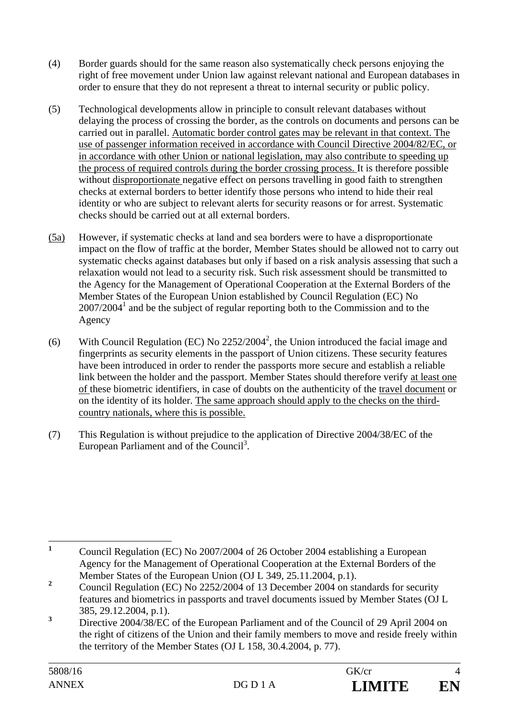- (4) Border guards should for the same reason also systematically check persons enjoying the right of free movement under Union law against relevant national and European databases in order to ensure that they do not represent a threat to internal security or public policy.
- (5) Technological developments allow in principle to consult relevant databases without delaying the process of crossing the border, as the controls on documents and persons can be carried out in parallel. Automatic border control gates may be relevant in that context. The use of passenger information received in accordance with Council Directive 2004/82/EC, or in accordance with other Union or national legislation, may also contribute to speeding up the process of required controls during the border crossing process. It is therefore possible without disproportionate negative effect on persons travelling in good faith to strengthen checks at external borders to better identify those persons who intend to hide their real identity or who are subject to relevant alerts for security reasons or for arrest. Systematic checks should be carried out at all external borders.
- (5a) However, if systematic checks at land and sea borders were to have a disproportionate impact on the flow of traffic at the border, Member States should be allowed not to carry out systematic checks against databases but only if based on a risk analysis assessing that such a relaxation would not lead to a security risk. Such risk assessment should be transmitted to the Agency for the Management of Operational Cooperation at the External Borders of the Member States of the European Union established by Council Regulation (EC) No  $2007/2004<sup>1</sup>$  and be the subject of regular reporting both to the Commission and to the Agency
- (6) With Council Regulation (EC) No  $2252/2004^2$ , the Union introduced the facial image and fingerprints as security elements in the passport of Union citizens. These security features have been introduced in order to render the passports more secure and establish a reliable link between the holder and the passport. Member States should therefore verify at least one of these biometric identifiers, in case of doubts on the authenticity of the travel document or on the identity of its holder. The same approach should apply to the checks on the thirdcountry nationals, where this is possible.
- (7) This Regulation is without prejudice to the application of Directive 2004/38/EC of the European Parliament and of the Council<sup>3</sup>.

 **1** Council Regulation (EC) No 2007/2004 of 26 October 2004 establishing a European Agency for the Management of Operational Cooperation at the External Borders of the Member States of the European Union (OJ L 349, 25.11.2004, p.1).

**<sup>2</sup>** Council Regulation (EC) No 2252/2004 of 13 December 2004 on standards for security features and biometrics in passports and travel documents issued by Member States (OJ L 385, 29.12.2004, p.1).

**<sup>3</sup>** Directive 2004/38/EC of the European Parliament and of the Council of 29 April 2004 on the right of citizens of the Union and their family members to move and reside freely within the territory of the Member States (OJ L 158, 30.4.2004, p. 77).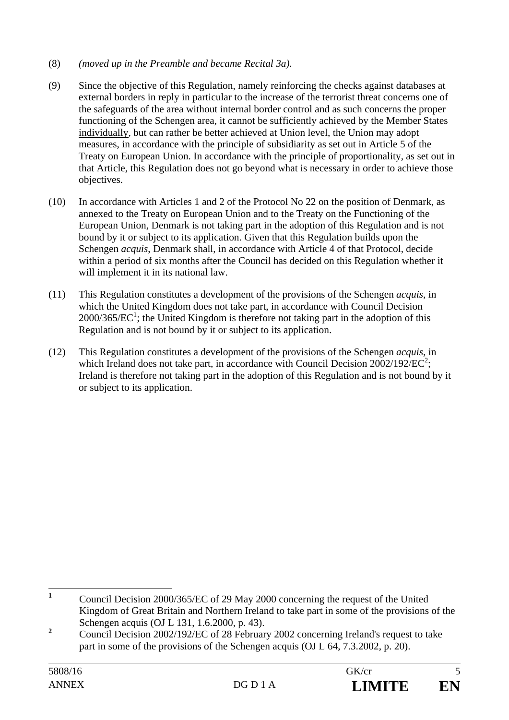### (8) *(moved up in the Preamble and became Recital 3a).*

- (9) Since the objective of this Regulation, namely reinforcing the checks against databases at external borders in reply in particular to the increase of the terrorist threat concerns one of the safeguards of the area without internal border control and as such concerns the proper functioning of the Schengen area, it cannot be sufficiently achieved by the Member States individually, but can rather be better achieved at Union level, the Union may adopt measures, in accordance with the principle of subsidiarity as set out in Article 5 of the Treaty on European Union. In accordance with the principle of proportionality, as set out in that Article, this Regulation does not go beyond what is necessary in order to achieve those objectives.
- (10) In accordance with Articles 1 and 2 of the Protocol No 22 on the position of Denmark, as annexed to the Treaty on European Union and to the Treaty on the Functioning of the European Union, Denmark is not taking part in the adoption of this Regulation and is not bound by it or subject to its application. Given that this Regulation builds upon the Schengen *acquis*, Denmark shall, in accordance with Article 4 of that Protocol, decide within a period of six months after the Council has decided on this Regulation whether it will implement it in its national law.
- (11) This Regulation constitutes a development of the provisions of the Schengen *acquis*, in which the United Kingdom does not take part, in accordance with Council Decision  $2000/365/EC<sup>1</sup>$ ; the United Kingdom is therefore not taking part in the adoption of this Regulation and is not bound by it or subject to its application.
- (12) This Regulation constitutes a development of the provisions of the Schengen *acquis*, in which Ireland does not take part, in accordance with Council Decision  $2002/192/EC^2$ ; Ireland is therefore not taking part in the adoption of this Regulation and is not bound by it or subject to its application.

 **1** Council Decision 2000/365/EC of 29 May 2000 concerning the request of the United Kingdom of Great Britain and Northern Ireland to take part in some of the provisions of the Schengen acquis (OJ L 131, 1.6.2000, p. 43).

**<sup>2</sup>** Council Decision 2002/192/EC of 28 February 2002 concerning Ireland's request to take part in some of the provisions of the Schengen acquis (OJ L 64, 7.3.2002, p. 20).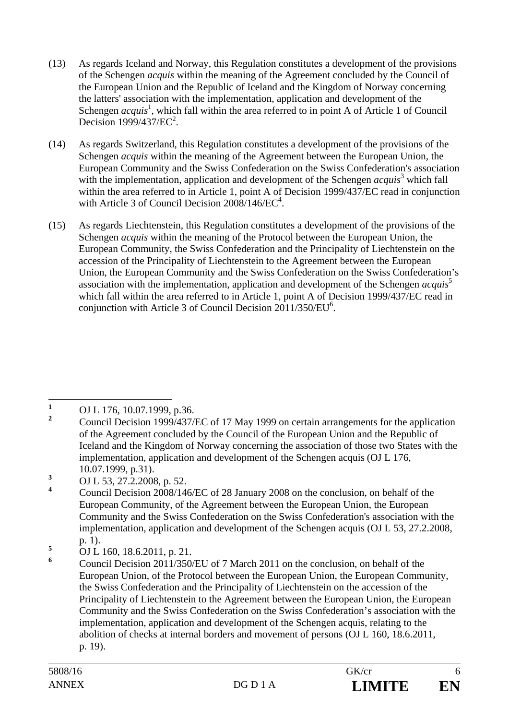- (13) As regards Iceland and Norway, this Regulation constitutes a development of the provisions of the Schengen *acquis* within the meaning of the Agreement concluded by the Council of the European Union and the Republic of Iceland and the Kingdom of Norway concerning the latters' association with the implementation, application and development of the Schengen *acquis*<sup>1</sup>, which fall within the area referred to in point A of Article 1 of Council Decision  $1999/437/EC^2$ .
- (14) As regards Switzerland, this Regulation constitutes a development of the provisions of the Schengen *acquis* within the meaning of the Agreement between the European Union, the European Community and the Swiss Confederation on the Swiss Confederation's association with the implementation, application and development of the Schengen *acquis*<sup>3</sup> which fall within the area referred to in Article 1, point A of Decision 1999/437/EC read in conjunction with Article 3 of Council Decision  $2008/146$ /EC<sup>4</sup>.
- (15) As regards Liechtenstein, this Regulation constitutes a development of the provisions of the Schengen *acquis* within the meaning of the Protocol between the European Union, the European Community, the Swiss Confederation and the Principality of Liechtenstein on the accession of the Principality of Liechtenstein to the Agreement between the European Union, the European Community and the Swiss Confederation on the Swiss Confederation's association with the implementation, application and development of the Schengen *acquis*<sup>5</sup> which fall within the area referred to in Article 1, point A of Decision 1999/437/EC read in conjunction with Article 3 of Council Decision  $2011/350/EU^6$ .

 **1** OJ L 176, 10.07.1999, p.36.

**<sup>2</sup>** Council Decision 1999/437/EC of 17 May 1999 on certain arrangements for the application of the Agreement concluded by the Council of the European Union and the Republic of Iceland and the Kingdom of Norway concerning the association of those two States with the implementation, application and development of the Schengen acquis (OJ L 176, 10.07.1999, p.31).

**<sup>3</sup>** OJ L 53, 27.2.2008, p. 52.

**<sup>4</sup>** Council Decision 2008/146/EC of 28 January 2008 on the conclusion, on behalf of the European Community, of the Agreement between the European Union, the European Community and the Swiss Confederation on the Swiss Confederation's association with the implementation, application and development of the Schengen acquis (OJ L 53, 27.2.2008, p. 1).

**<sup>5</sup>** OJ L 160, 18.6.2011, p. 21.

**<sup>6</sup>** Council Decision 2011/350/EU of 7 March 2011 on the conclusion, on behalf of the European Union, of the Protocol between the European Union, the European Community, the Swiss Confederation and the Principality of Liechtenstein on the accession of the Principality of Liechtenstein to the Agreement between the European Union, the European Community and the Swiss Confederation on the Swiss Confederation's association with the implementation, application and development of the Schengen acquis, relating to the abolition of checks at internal borders and movement of persons (OJ L 160, 18.6.2011, p. 19).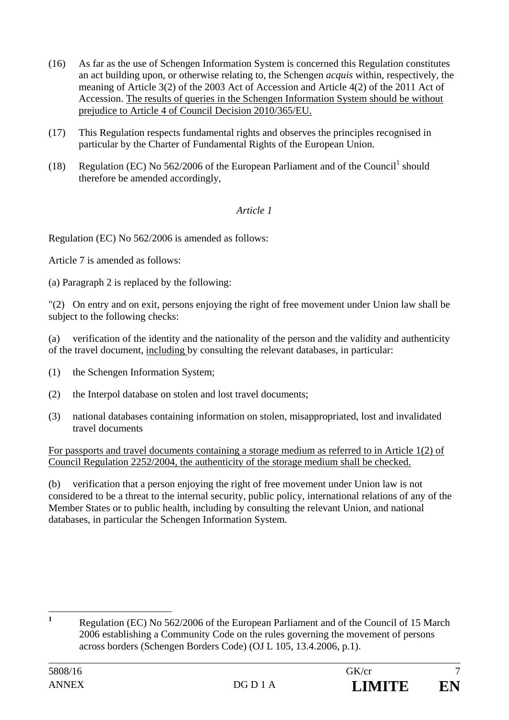- (16) As far as the use of Schengen Information System is concerned this Regulation constitutes an act building upon, or otherwise relating to, the Schengen *acquis* within, respectively, the meaning of Article 3(2) of the 2003 Act of Accession and Article 4(2) of the 2011 Act of Accession. The results of queries in the Schengen Information System should be without prejudice to Article 4 of Council Decision 2010/365/EU.
- (17) This Regulation respects fundamental rights and observes the principles recognised in particular by the Charter of Fundamental Rights of the European Union.
- (18) Regulation (EC) No  $562/2006$  of the European Parliament and of the Council<sup>1</sup> should therefore be amended accordingly,

# *Article 1*

Regulation (EC) No 562/2006 is amended as follows:

Article 7 is amended as follows:

(a) Paragraph 2 is replaced by the following:

"(2) On entry and on exit, persons enjoying the right of free movement under Union law shall be subject to the following checks:

(a) verification of the identity and the nationality of the person and the validity and authenticity of the travel document, including by consulting the relevant databases, in particular:

- (1) the Schengen Information System;
- (2) the Interpol database on stolen and lost travel documents;
- (3) national databases containing information on stolen, misappropriated, lost and invalidated travel documents

For passports and travel documents containing a storage medium as referred to in Article 1(2) of Council Regulation 2252/2004, the authenticity of the storage medium shall be checked.

(b) verification that a person enjoying the right of free movement under Union law is not considered to be a threat to the internal security, public policy, international relations of any of the Member States or to public health, including by consulting the relevant Union, and national databases, in particular the Schengen Information System.

 **1** Regulation (EC) No 562/2006 of the European Parliament and of the Council of 15 March 2006 establishing a Community Code on the rules governing the movement of persons across borders (Schengen Borders Code) (OJ L 105, 13.4.2006, p.1).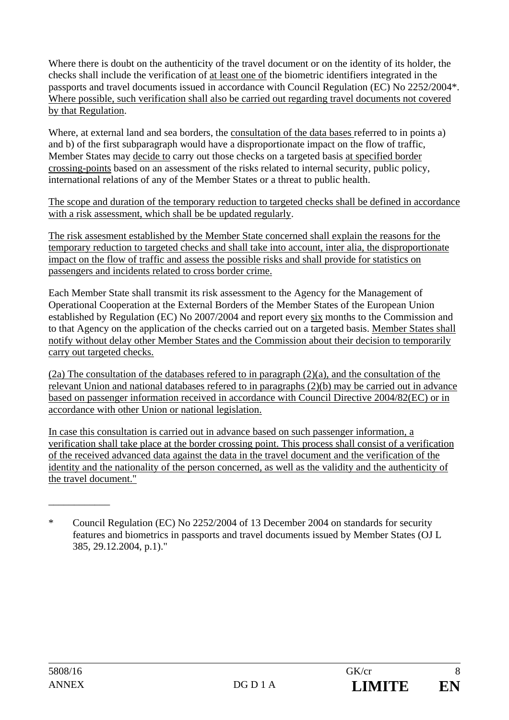Where there is doubt on the authenticity of the travel document or on the identity of its holder, the checks shall include the verification of at least one of the biometric identifiers integrated in the passports and travel documents issued in accordance with Council Regulation (EC) No 2252/2004\*. Where possible, such verification shall also be carried out regarding travel documents not covered by that Regulation.

Where, at external land and sea borders, the consultation of the data bases referred to in points a) and b) of the first subparagraph would have a disproportionate impact on the flow of traffic, Member States may decide to carry out those checks on a targeted basis at specified border crossing-points based on an assessment of the risks related to internal security, public policy, international relations of any of the Member States or a threat to public health.

The scope and duration of the temporary reduction to targeted checks shall be defined in accordance with a risk assessment, which shall be be updated regularly.

The risk assesment established by the Member State concerned shall explain the reasons for the temporary reduction to targeted checks and shall take into account, inter alia, the disproportionate impact on the flow of traffic and assess the possible risks and shall provide for statistics on passengers and incidents related to cross border crime.

Each Member State shall transmit its risk assessment to the Agency for the Management of Operational Cooperation at the External Borders of the Member States of the European Union established by Regulation (EC) No 2007/2004 and report every six months to the Commission and to that Agency on the application of the checks carried out on a targeted basis. Member States shall notify without delay other Member States and the Commission about their decision to temporarily carry out targeted checks.

(2a) The consultation of the databases refered to in paragraph (2)(a), and the consultation of the relevant Union and national databases refered to in paragraphs (2)(b) may be carried out in advance based on passenger information received in accordance with Council Directive 2004/82(EC) or in accordance with other Union or national legislation.

In case this consultation is carried out in advance based on such passenger information, a verification shall take place at the border crossing point. This process shall consist of a verification of the received advanced data against the data in the travel document and the verification of the identity and the nationality of the person concerned, as well as the validity and the authenticity of the travel document."

\_\_\_\_\_\_\_\_\_\_\_\_

<sup>\*</sup> Council Regulation (EC) No 2252/2004 of 13 December 2004 on standards for security features and biometrics in passports and travel documents issued by Member States (OJ L 385, 29.12.2004, p.1)."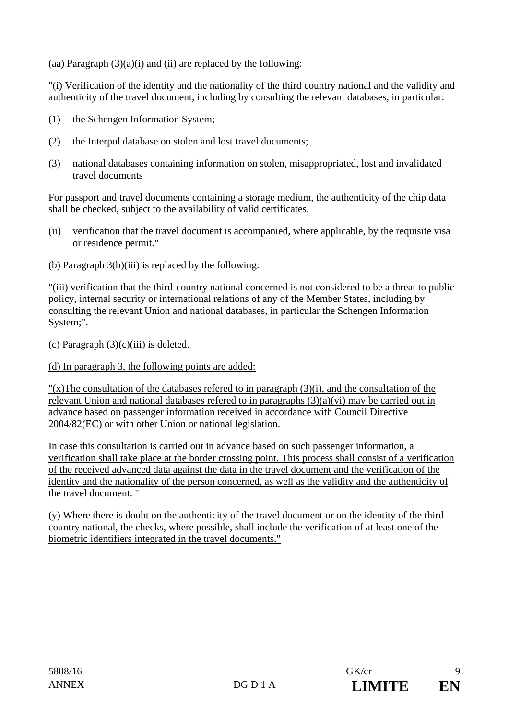(aa) Paragraph  $(3)(a)(i)$  and (ii) are replaced by the following:

"(i) Verification of the identity and the nationality of the third country national and the validity and authenticity of the travel document, including by consulting the relevant databases, in particular:

- (1) the Schengen Information System;
- (2) the Interpol database on stolen and lost travel documents;
- (3) national databases containing information on stolen, misappropriated, lost and invalidated travel documents

For passport and travel documents containing a storage medium, the authenticity of the chip data shall be checked, subject to the availability of valid certificates.

- (ii) verification that the travel document is accompanied, where applicable, by the requisite visa or residence permit."
- (b) Paragraph  $3(b)(iii)$  is replaced by the following:

"(iii) verification that the third-country national concerned is not considered to be a threat to public policy, internal security or international relations of any of the Member States, including by consulting the relevant Union and national databases, in particular the Schengen Information System;".

(c) Paragraph  $(3)(c)(iii)$  is deleted.

(d) In paragraph 3, the following points are added:

 $''(x)$ The consultation of the databases refered to in paragraph (3)(i), and the consultation of the relevant Union and national databases refered to in paragraphs (3)(a)(vi) may be carried out in advance based on passenger information received in accordance with Council Directive 2004/82(EC) or with other Union or national legislation.

In case this consultation is carried out in advance based on such passenger information, a verification shall take place at the border crossing point. This process shall consist of a verification of the received advanced data against the data in the travel document and the verification of the identity and the nationality of the person concerned, as well as the validity and the authenticity of the travel document. "

(y) Where there is doubt on the authenticity of the travel document or on the identity of the third country national, the checks, where possible, shall include the verification of at least one of the biometric identifiers integrated in the travel documents."